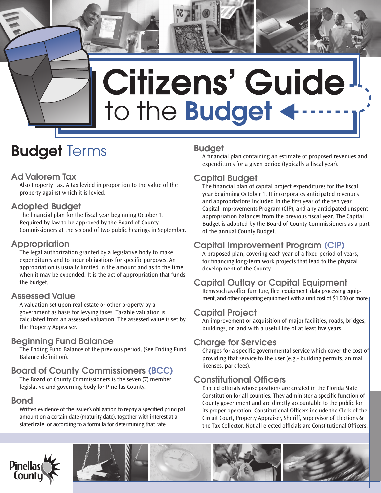# Citizens' Guide to the Budget

# **Budget Terms**

# Ad Valorem Tax

Also Property Tax. A tax levied in proportion to the value of the property against which it is levied.

# Adopted Budget

The financial plan for the fiscal year beginning October 1. Required by law to be approved by the Board of County Commissioners at the second of two public hearings in September.

# Appropriation

The legal authorization granted by a legislative body to make expenditures and to incur obligations for specific purposes. An appropriation is usually limited in the amount and as to the time when it may be expended. It is the act of appropriation that funds the budget.

# Assessed Value

A valuation set upon real estate or other property by a government as basis for levying taxes. Taxable valuation is calculated from an assessed valuation. The assessed value is set by the Property Appraiser.

# Beginning Fund Balance

The Ending Fund Balance of the previous period. (See Ending Fund Balance definition).

# Board of County Commissioners (BCC)

The Board of County Commissioners is the seven (7) member legislative and governing body for Pinellas County.

# Bond

Written evidence of the issuer's obligation to repay a specified principal amount on a certain date (maturity date), together with interest at a stated rate, or according to a formula for determining that rate.

# Budget

A financial plan containing an estimate of proposed revenues and expenditures for a given period (typically a fiscal year).

# Capital Budget

The financial plan of capital project expenditures for the fiscal year beginning October 1. It incorporates anticipated revenues and appropriations included in the first year of the ten year Capital Improvements Program (CIP), and any anticipated unspent appropriation balances from the previous fiscal year. The Capital Budget is adopted by the Board of County Commissioners as a part of the annual County Budget.

# Capital Improvement Program (CIP)

A proposed plan, covering each year of a fixed period of years, for financing long-term work projects that lead to the physical development of the County.

# Capital Outlay or Capital Equipment

Items such as office furniture, fleet equipment, data processing equipment, and other operating equipment with a unit cost of \$1,000 or more.

# Capital Project

An improvement or acquisition of major facilities, roads, bridges, buildings, or land with a useful life of at least five years.

# **Charge for Services**

Charges for a specific governmental service which cover the cost of providing that service to the user (e.g.- building permits, animal licenses, park fees).

# Constitutional Officers

Elected officials whose positions are created in the Florida State Constitution for all counties. They administer a specific function of County government and are directly accountable to the public for its proper operation. Constitutional Officers include the Clerk of the Circuit Court, Property Appraiser, Sheriff, Supervisor of Elections & the Tax Collector. Not all elected officials are Constitutional Officers.



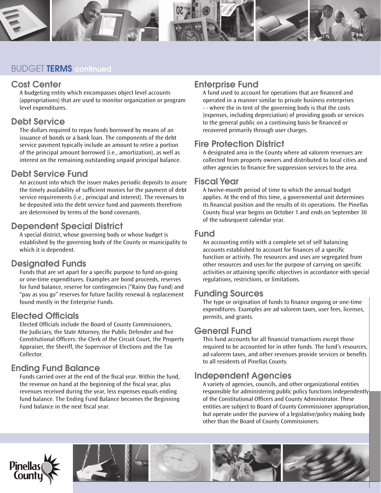

## BUDGET TERMS continued

#### Cost Center

A budgeting entity which encompasses object level accounts (appropriations) that are used to monitor organization or program level expenditures.

#### Debt Service

The dollars required to repay funds borrowed by means of an issuance of bonds or a bank loan. The components of the debt service payment typically include an amount to retire a portion of the principal amount borrowed (i.e., amortization), as well as interest on the remaining outstanding unpaid principal balance.

## Debt Service Fund

An account into which the issuer makes periodic deposits to assure the timely availability of sufficient monies for the payment of debt service requirements (i.e., principal and interest). The revenues to be deposited into the debt service fund and payments therefrom are determined by terms of the bond covenants.

## Dependent Special District

A special district, whose governing body or whose budget is established by the governing body of the County or municipality to which it is dependent.

# Designated Funds

Funds that are set apart for a specific purpose to fund on-going or one-time expenditures. Examples are bond proceeds, reserves for fund balance, reserve for contingencies ("Rainy Day Fund) and "pay as you go" reserves for future facility renewal & replacement found mostly in the Enterprise Funds.

# Elected Officials

Elected Officials include the Board of County Commissioners, the Judiciary, the State Attorney, the Public Defender and five Constitutional Officers: the Clerk of the Circuit Court, the Property Appraiser, the Sheriff, the Supervisor of Elections and the Tax Collector.

# Ending Fund Balance

Funds carried over at the end of the fiscal year. Within the fund, the revenue on hand at the beginning of the fiscal year, plus revenues received during the year, less expenses equals ending fund balance. The Ending Fund Balance becomes the Beginning Fund balance in the next fiscal year.

# Enterprise Fund

A fund used to account for operations that are financed and operated in a manner similar to private business enterprises - - where the in-tent of the governing body is that the costs (expenses, including depreciation) of providing goods or services to the general public on a continuing basis be financed or recovered primarily through user charges.

# Fire Protection District

A designated area in the County where ad valorem revenues are collected from property owners and distributed to local cities and other agencies to finance fire suppression services to the area.

## Fiscal Year

A twelve-month period of time to which the annual budget applies. At the end of this time, a governmental unit determines its financial position and the results of its operations. The Pinellas County fiscal year begins on October 1 and ends on September 30 of the subsequent calendar year.

#### Fund

An accounting entity with a complete set of self balancing accounts established to account for finances of a specific function or activity. The resources and uses are segregated from other resources and uses for the purpose of carrying on specific activities or attaining specific objectives in accordance with special regulations, restrictions, or limitations.

#### Funding Sources

The type or origination of funds to finance ongoing or one-time expenditures. Examples are ad valorem taxes, user fees, licenses, permits, and grants.

#### General Fund

This fund accounts for all financial transactions except those required to be accounted for in other funds. The fund's resources, ad valorem taxes, and other revenues provide services or benefits to all residents of Pinellas County.

# Independent Agencies

A variety of agencies, councils, and other organizational entities responsible for administering public policy functions independently of the Constitutional Officers and County Administrator. These entities are subject to Board of County Commissioner appropriation, but operate under the purview of a legislative/policy making body other than the Board of County Commissioners.



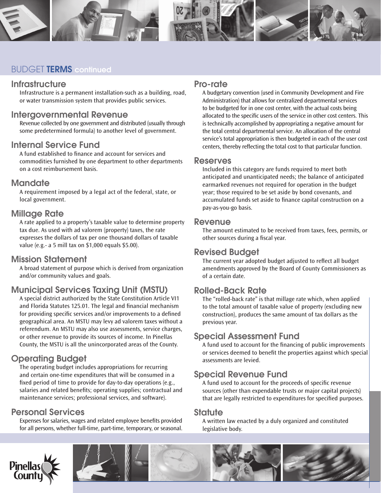

# BUDGET TERMS continued

#### **Infrastructure**

Infrastructure is a permanent installation-such as a building, road, or water transmission system that provides public services.

#### Intergovernmental Revenue

Revenue collected by one government and distributed (usually through some predetermined formula) to another level of government.

#### Internal Service Fund

A fund established to finance and account for services and commodities furnished by one department to other departments on a cost reimbursement basis.

#### **Mandate**

A requirement imposed by a legal act of the federal, state, or local government.

#### Millage Rate

A rate applied to a property's taxable value to determine property tax due. As used with ad valorem (property) taxes, the rate expresses the dollars of tax per one thousand dollars of taxable value (e.g.- a 5 mill tax on \$1,000 equals \$5.00).

#### Mission Statement

A broad statement of purpose which is derived from organization and/or community values and goals.

# Municipal Services Taxing Unit (MSTU)

A special district authorized by the State Constitution Article VI1 and Florida Statutes 125.01. The legal and financial mechanism for providing specific services and/or improvements to a defined geographical area. An MSTU may levy ad valorem taxes without a referendum. An MSTU may also use assessments, service charges, or other revenue to provide its sources of income. In Pinellas County, the MSTU is all the unincorporated areas of the County.

# Operating Budget

The operating budget includes appropriations for recurring and certain one-time expenditures that will be consumed in a fixed period of time to provide for day-to-day operations (e.g., salaries and related benefits; operating supplies; contractual and maintenance services; professional services, and software).

## Personal Services

Expenses for salaries, wages and related employee benefits provided for all persons, whether full-time, part-time, temporary, or seasonal.

#### Pro-rate

A budgetary convention (used in Community Development and Fire Administration) that allows for centralized departmental services to be budgeted for in one cost center, with the actual costs being allocated to the specific users of the service in other cost centers. This is technically accomplished by appropriating a negative amount for the total central departmental service. An allocation of the central service's total appropriation is then budgeted in each of the user cost centers, thereby reflecting the total cost to that particular function.

#### Reserves

Included in this category are funds required to meet both anticipated and unanticipated needs; the balance of anticipated earmarked revenues not required for operation in the budget year; those required to be set aside by bond covenants, and accumulated funds set aside to finance capital construction on a pay-as-you-go basis.

#### Revenue

The amount estimated to be received from taxes, fees, permits, or other sources during a fiscal year.

#### Revised Budget

The current year adopted budget adjusted to reflect all budget amendments approved by the Board of County Commissioners as of a certain date.

# Rolled-Back Rate

The "rolled-back rate" is that millage rate which, when applied to the total amount of taxable value of property (excluding new construction), produces the same amount of tax dollars as the previous year.

#### Special Assessment Fund

A fund used to account for the financing of public improvements or services deemed to benefit the properties against which special assessments are levied.

# Special Revenue Fund

A fund used to account for the proceeds of specific revenue sources (other than expendable trusts or major capital projects) that are legally restricted to expenditures for specified purposes.

#### **Statute**

A written law enacted by a duly organized and constituted legislative body.